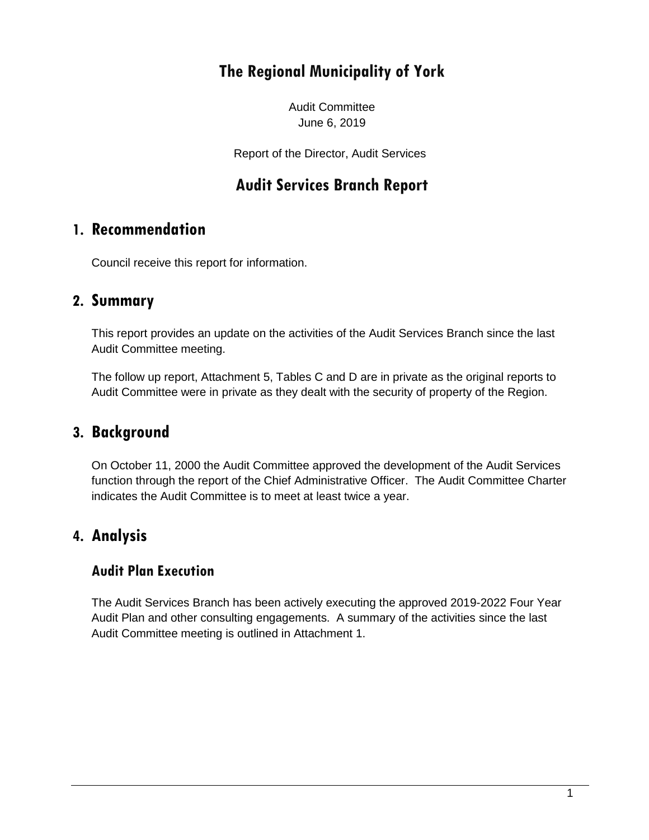# **The Regional Municipality of York**

Audit Committee June 6, 2019

Report of the Director, Audit Services

## **Audit Services Branch Report**

### **1. Recommendation**

Council receive this report for information.

### **2. Summary**

This report provides an update on the activities of the Audit Services Branch since the last Audit Committee meeting.

The follow up report, Attachment 5, Tables C and D are in private as the original reports to Audit Committee were in private as they dealt with the security of property of the Region.

### **3. Background**

On October 11, 2000 the Audit Committee approved the development of the Audit Services function through the report of the Chief Administrative Officer. The Audit Committee Charter indicates the Audit Committee is to meet at least twice a year.

### **4. Analysis**

#### **Audit Plan Execution**

The Audit Services Branch has been actively executing the approved 2019-2022 Four Year Audit Plan and other consulting engagements. A summary of the activities since the last Audit Committee meeting is outlined in Attachment 1.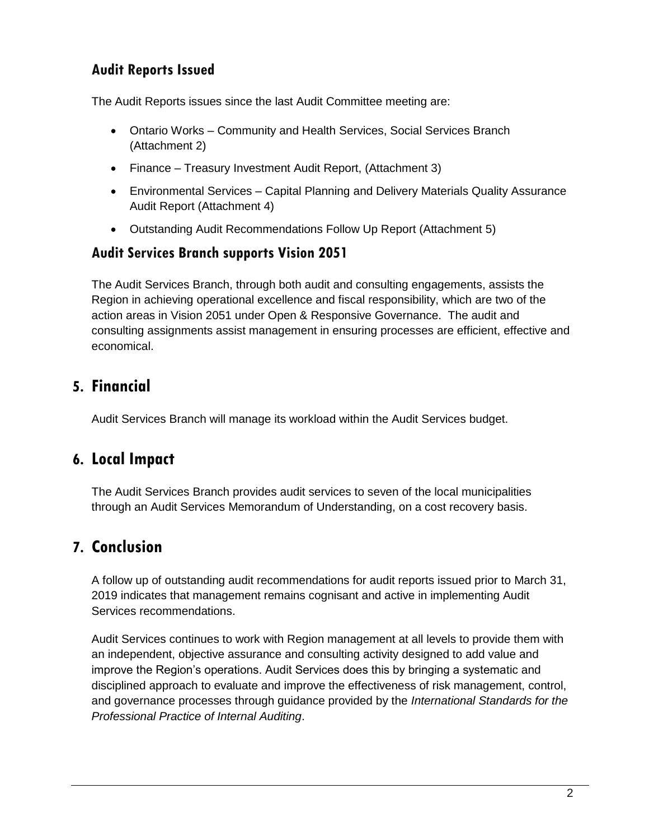### **Audit Reports Issued**

The Audit Reports issues since the last Audit Committee meeting are:

- Ontario Works Community and Health Services, Social Services Branch (Attachment 2)
- Finance Treasury Investment Audit Report, (Attachment 3)
- Environmental Services Capital Planning and Delivery Materials Quality Assurance Audit Report (Attachment 4)
- Outstanding Audit Recommendations Follow Up Report (Attachment 5)

#### **Audit Services Branch supports Vision 2051**

The Audit Services Branch, through both audit and consulting engagements, assists the Region in achieving operational excellence and fiscal responsibility, which are two of the action areas in Vision 2051 under Open & Responsive Governance. The audit and consulting assignments assist management in ensuring processes are efficient, effective and economical.

## **5. Financial**

Audit Services Branch will manage its workload within the Audit Services budget.

## **6. Local Impact**

The Audit Services Branch provides audit services to seven of the local municipalities through an Audit Services Memorandum of Understanding, on a cost recovery basis.

## **7. Conclusion**

A follow up of outstanding audit recommendations for audit reports issued prior to March 31, 2019 indicates that management remains cognisant and active in implementing Audit Services recommendations.

Audit Services continues to work with Region management at all levels to provide them with an independent, objective assurance and consulting activity designed to add value and improve the Region's operations. Audit Services does this by bringing a systematic and disciplined approach to evaluate and improve the effectiveness of risk management, control, and governance processes through guidance provided by the *International Standards for the Professional Practice of Internal Auditing*.